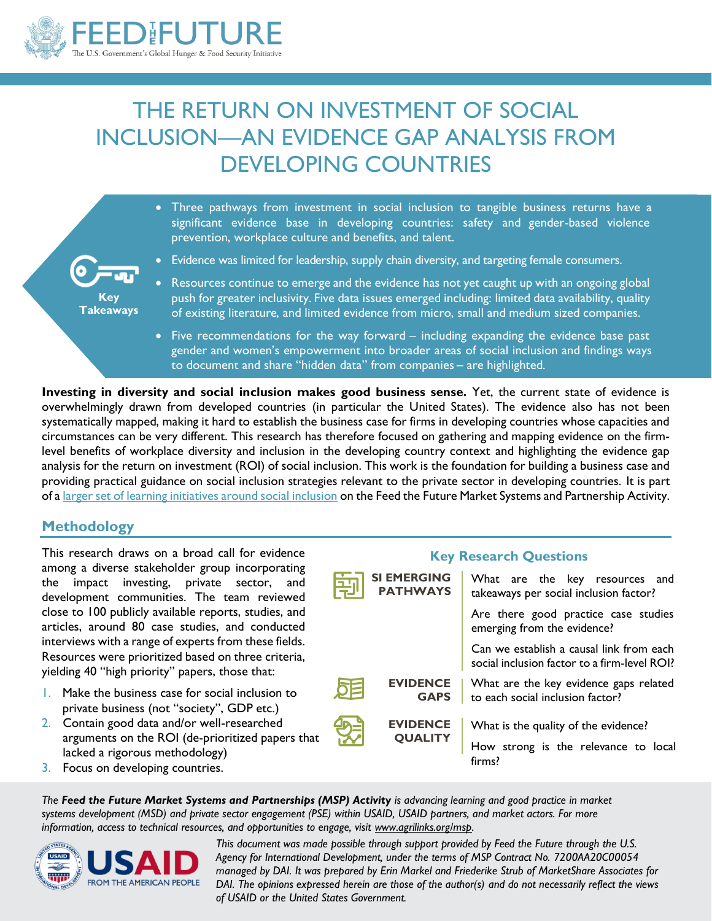

# THE RETURN ON INVESTMENT OF SOCIAL INCLUSION—AN EVIDENCE GAP ANALYSIS FROM DEVELOPING COUNTRIES

|                                                                                   | • Three pathways from investment in social inclusion to tangible business returns have a<br>significant evidence base in developing countries: safety and gender-based violence<br>prevention, workplace culture and benefits, and talent.                                                         |
|-----------------------------------------------------------------------------------|----------------------------------------------------------------------------------------------------------------------------------------------------------------------------------------------------------------------------------------------------------------------------------------------------|
| $\overline{\text{O}}$ and $\overline{\text{O}}$<br><b>Key</b><br><b>Takeaways</b> | • Evidence was limited for leadership, supply chain diversity, and targeting female consumers.                                                                                                                                                                                                     |
|                                                                                   | • Resources continue to emerge and the evidence has not yet caught up with an ongoing global<br>push for greater inclusivity. Five data issues emerged including: limited data availability, quality<br>of existing literature, and limited evidence from micro, small and medium sized companies. |
|                                                                                   | • Five recommendations for the way forward – including expanding the evidence base past<br>gender and women's empowerment into broader areas of social inclusion and findings ways<br>to document and share "hidden data" from companies - are highlighted.                                        |

**Investing in diversity and social inclusion makes good business sense.** Yet, the current state of evidence is overwhelmingly drawn from developed countries (in particular the United States). The evidence also has not been systematically mapped, making it hard to establish the business case for firms in developing countries whose capacities and circumstances can be very different. This research has therefore focused on gathering and mapping evidence on the firmlevel benefits of workplace diversity and inclusion in the developing country context and highlighting the evidence gap analysis for the return on investment (ROI) of social inclusion. This work is the foundation for building a business case and providing practical guidance on social inclusion strategies relevant to the private sector in developing countries. It is part of a [larger set of learning initiatives around social inclusion](https://agrilinks.org/post/feed-future-market-systems-and-partnerships-learning-agenda) on the Feed the Future Market Systems and Partnership Activity.

### **Methodology**

This research draws on a broad call for evidence among a diverse stakeholder group incorporating the impact investing, private sector, and development communities. The team reviewed close to 100 publicly available reports, studies, and articles, around 80 case studies, and conducted interviews with a range of experts from these fields. Resources were prioritized based on three criteria, yielding 40 "high priority" papers, those that:

- 1. Make the business case for social inclusion to private business (not "society", GDP etc.)
- 2. Contain good data and/or well-researched arguments on the ROI (de-prioritized papers that lacked a rigorous methodology)
- 3. Focus on developing countries.



*The Feed the Future Market Systems and Partnerships (MSP) Activity is advancing learning and good practice in market systems development (MSD) and private sector engagement (PSE) within USAID, USAID partners, and market actors. For more information, access to technical resources, and opportunities to engage, visit www.agrilinks.org/msp.* 



*This document was made possible through support provided by Feed the Future through the U.S. Agency for International Development, under the terms of MSP Contract No. 7200AA20C00054 managed by DAI. It was prepared by Erin Markel and Friederike Strub of MarketShare Associates for DAI. The opinions expressed herein are those of the author(s) and do not necessarily reflect the views of USAID or the United States Government.*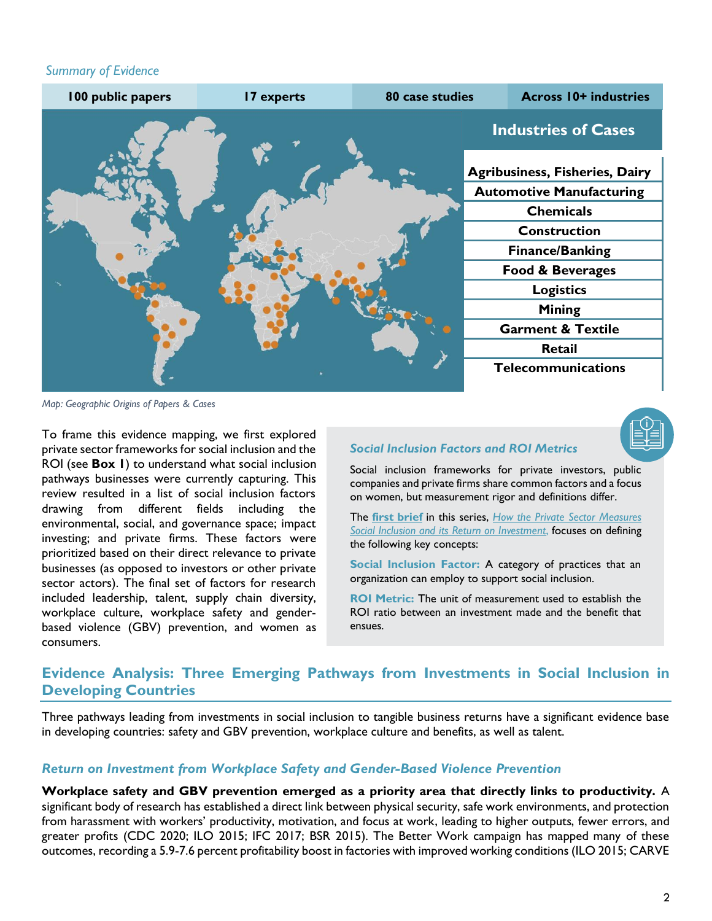#### *Summary of Evidence*



*Map: Geographic Origins of Papers & Cases*

To frame this evidence mapping, we first explored private sector frameworks for social inclusion and the ROI (see **Box 1**) to understand what social inclusion pathways businesses were currently capturing. This review resulted in a list of social inclusion factors drawing from different fields including the environmental, social, and governance space; impact investing; and private firms. These factors were prioritized based on their direct relevance to private businesses (as opposed to investors or other private sector actors). The final set of factors for research included leadership, talent, supply chain diversity, workplace culture, workplace safety and genderbased violence (GBV) prevention, and women as consumers.

#### *Social Inclusion Factors and ROI Metrics*

Social inclusion frameworks for private investors, public companies and private firms share common factors and a focus on women, but measurement rigor and definitions differ.

The **[first brief](https://beamexchange.org/resources/1509/)** in this series, *[How the Private Sector Measures](https://agrilinks.org/sites/default/files/media/file/ROI%20for%20SI_Initial%20Research_MSP%20Brief.pdf)  [Social Inclusion and its Return on Investment](https://agrilinks.org/sites/default/files/media/file/ROI%20for%20SI_Initial%20Research_MSP%20Brief.pdf)*, focuses on defining the following key concepts:

**Social Inclusion Factor:** A category of practices that an organization can employ to support social inclusion.

**ROI Metric:** The unit of measurement used to establish the ROI ratio between an investment made and the benefit that ensues.

## **Evidence Analysis: Three Emerging Pathways from Investments in Social Inclusion in Developing Countries**

Three pathways leading from investments in social inclusion to tangible business returns have a significant evidence base in developing countries: safety and GBV prevention, workplace culture and benefits, as well as talent.

#### *Return on Investment from Workplace Safety and Gender-Based Violence Prevention*

**Workplace safety and GBV prevention emerged as a priority area that directly links to productivity.** A significant body of research has established a direct link between physical security, safe work environments, and protection from harassment with workers' productivity, motivation, and focus at work, leading to higher outputs, fewer errors, and greater profits (CDC 2020; ILO 2015; IFC 2017; BSR 2015). The Better Work campaign has mapped many of these outcomes, recording a 5.9-7.6 percent profitability boost in factories with improved working conditions (ILO 2015; CARVE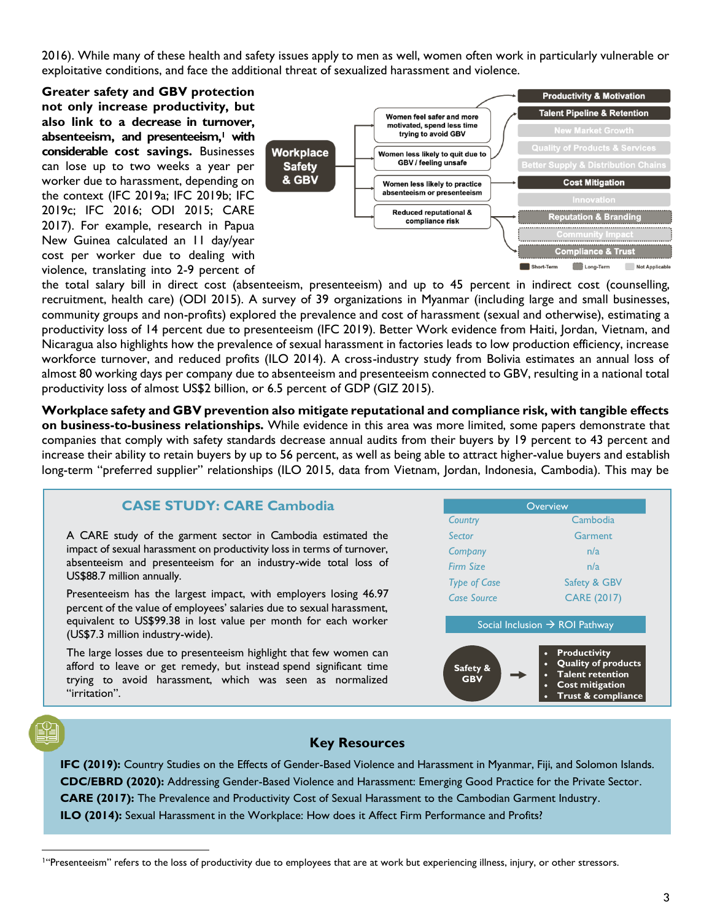2016). While many of these health and safety issues apply to men as well, women often work in particularly vulnerable or exploitative conditions, and face the additional threat of sexualized harassment and violence.

**Greater safety and GBV protection not only increase productivity, but also link to a decrease in turnover, absenteeism, and presenteeism,<sup>1</sup> with considerable cost savings.** Businesses can lose up to two weeks a year per worker due to harassment, depending on the context (IFC 2019a; IFC 2019b; IFC 2019c; IFC 2016; ODI 2015; CARE 2017). For example, research in Papua New Guinea calculated an 11 day/year cost per worker due to dealing with violence, translating into 2-9 percent of



the total salary bill in direct cost (absenteeism, presenteeism) and up to 45 percent in indirect cost (counselling, recruitment, health care) (ODI 2015). A survey of 39 organizations in Myanmar (including large and small businesses, community groups and non-profits) explored the prevalence and cost of harassment (sexual and otherwise), estimating a productivity loss of 14 percent due to presenteeism (IFC 2019). Better Work evidence from Haiti, Jordan, Vietnam, and Nicaragua also highlights how the prevalence of sexual harassment in factories leads to low production efficiency, increase workforce turnover, and reduced profits (ILO 2014). A cross-industry study from Bolivia estimates an annual loss of almost 80 working days per company due to absenteeism and presenteeism connected to GBV, resulting in a national total productivity loss of almost US\$2 billion, or 6.5 percent of GDP (GIZ 2015).

**Workplace safety and GBV prevention also mitigate reputational and compliance risk, with tangible effects on business-to-business relationships.** While evidence in this area was more limited, some papers demonstrate that companies that comply with safety standards decrease annual audits from their buyers by 19 percent to 43 percent and increase their ability to retain buyers by up to 56 percent, as well as being able to attract higher-value buyers and establish long-term "preferred supplier" relationships (ILO 2015, data from Vietnam, Jordan, Indonesia, Cambodia). This may be

### **CASE STUDY: CARE Cambodia**

A CARE study of the garment sector in Cambodia estimated the impact of sexual harassment on productivity loss in terms of turnover, absenteeism and presenteeism for an industry-wide total loss of US\$88.7 million annually.

Presenteeism has the largest impact, with employers losing 46.97 percent of the value of employees' salaries due to sexual harassment, equivalent to US\$99.38 in lost value per month for each worker (US\$7.3 million industry-wide).

The large losses due to presenteeism highlight that few women can afford to leave or get remedy, but instead spend significant time trying to avoid harassment, which was seen as normalized "irritation".

|                        | Overview                                                                                                                                        |
|------------------------|-------------------------------------------------------------------------------------------------------------------------------------------------|
| Country                | Cambodia                                                                                                                                        |
| Sector                 | Garment                                                                                                                                         |
| Company                | n/a                                                                                                                                             |
| <b>Firm Size</b>       | n/a                                                                                                                                             |
| <b>Type of Case</b>    | Safety & GBV                                                                                                                                    |
| Case Source            | <b>CARE (2017)</b>                                                                                                                              |
|                        | Social Inclusion $\rightarrow$ ROI Pathway                                                                                                      |
| Safety &<br><b>GBV</b> | <b>Productivity</b><br>$\bullet$<br><b>Quality of products</b><br>$\bullet$<br>Talent retention<br><b>Cost mitigation</b><br>Trust & compliance |

#### **Key Resources**

**IFC (2019):** Country Studies on the Effects of Gender-Based Violence and Harassment in Myanmar, Fiji, and Solomon Islands. **CDC/EBRD (2020):** Addressing Gender-Based Violence and Harassment: Emerging Good Practice for the Private Sector. **CARE (2017):** The Prevalence and Productivity Cost of Sexual Harassment to the Cambodian Garment Industry. **ILO (2014):** Sexual Harassment in the Workplace: How does it Affect Firm Performance and Profits?

<sup>&</sup>lt;sup>1</sup>"Presenteeism" refers to the loss of productivity due to employees that are at work but experiencing illness, injury, or other stressors.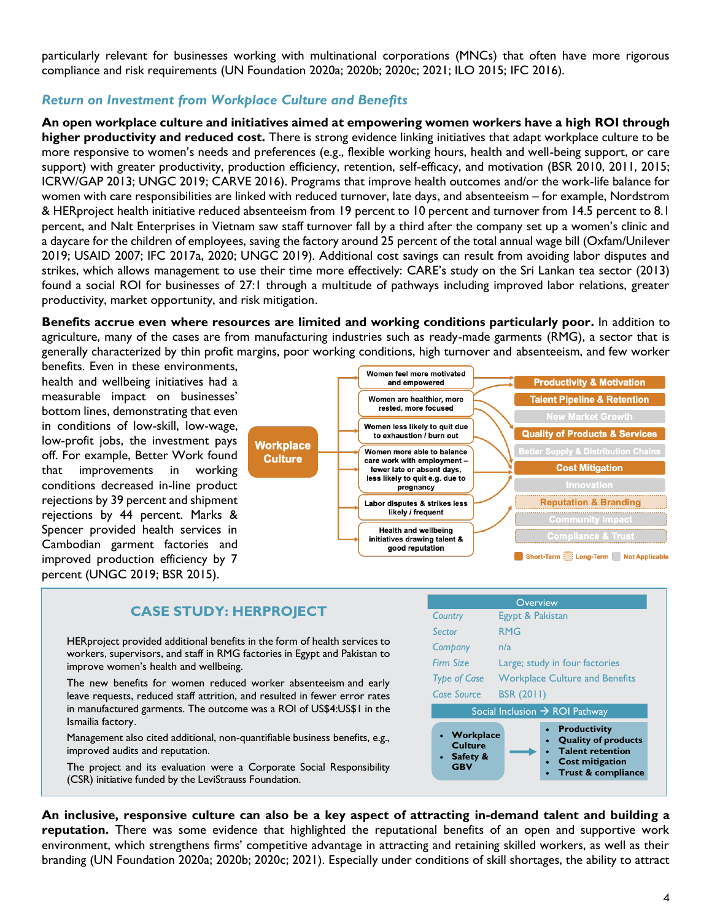particularly relevant for businesses working with multinational corporations (MNCs) that often have more rigorous compliance and risk requirements (UN Foundation 2020a; 2020b; 2020c; 2021; ILO 2015; IFC 2016).

#### *Return on Investment from Workplace Culture and Benefits*

**An open workplace culture and initiatives aimed at empowering women workers have a high ROI through higher productivity and reduced cost.** There is strong evidence linking initiatives that adapt workplace culture to be more responsive to women's needs and preferences (e.g., flexible working hours, health and well-being support, or care support) with greater productivity, production efficiency, retention, self-efficacy, and motivation (BSR 2010, 2011, 2015; ICRW/GAP 2013; UNGC 2019; CARVE 2016). Programs that improve health outcomes and/or the work-life balance for women with care responsibilities are linked with reduced turnover, late days, and absenteeism – for example, Nordstrom & HERproject health initiative reduced absenteeism from 19 percent to 10 percent and turnover from 14.5 percent to 8.1 percent, and Nalt Enterprises in Vietnam saw staff turnover fall by a third after the company set up a women's clinic and a daycare for the children of employees, saving the factory around 25 percent of the total annual wage bill (Oxfam/Unilever 2019; USAID 2007; IFC 2017a, 2020; UNGC 2019). Additional cost savings can result from avoiding labor disputes and strikes, which allows management to use their time more effectively: CARE's study on the Sri Lankan tea sector (2013) found a social ROI for businesses of 27:1 through a multitude of pathways including improved labor relations, greater productivity, market opportunity, and risk mitigation.

**Benefits accrue even where resources are limited and working conditions particularly poor.** In addition to agriculture, many of the cases are from manufacturing industries such as ready-made garments (RMG), a sector that is generally characterized by thin profit margins, poor working conditions, high turnover and absenteeism, and few worker

benefits. Even in these environments, health and wellbeing initiatives had a measurable impact on businesses' bottom lines, demonstrating that even in conditions of low-skill, low-wage, low-profit jobs, the investment pays off. For example, Better Work found that improvements in working conditions decreased in-line product rejections by 39 percent and shipment rejections by 44 percent. Marks & Spencer provided health services in Cambodian garment factories and improved production efficiency by 7 percent (UNGC 2019; BSR 2015).



#### **CASE STUDY: HERPROJECT**

HERproject provided additional benefits in the form of health services to workers, supervisors, and staff in RMG factories in Egypt and Pakistan to improve women's health and wellbeing.

The new benefits for women reduced worker absenteeism and early leave requests, reduced staff attrition, and resulted in fewer error rates in manufactured garments. The outcome was a ROI of US\$4:US\$1 in the Ismailia factory.

Management also cited additional, non-quantifiable business benefits, e.g., improved audits and reputation.

The project and its evaluation were a Corporate Social Responsibility (CSR) initiative funded by the LeviStrauss Foundation.



**An inclusive, responsive culture can also be a key aspect of attracting in-demand talent and building a reputation.** There was some evidence that highlighted the reputational benefits of an open and supportive work environment, which strengthens firms' competitive advantage in attracting and retaining skilled workers, as well as their branding (UN Foundation 2020a; 2020b; 2020c; 2021). Especially under conditions of skill shortages, the ability to attract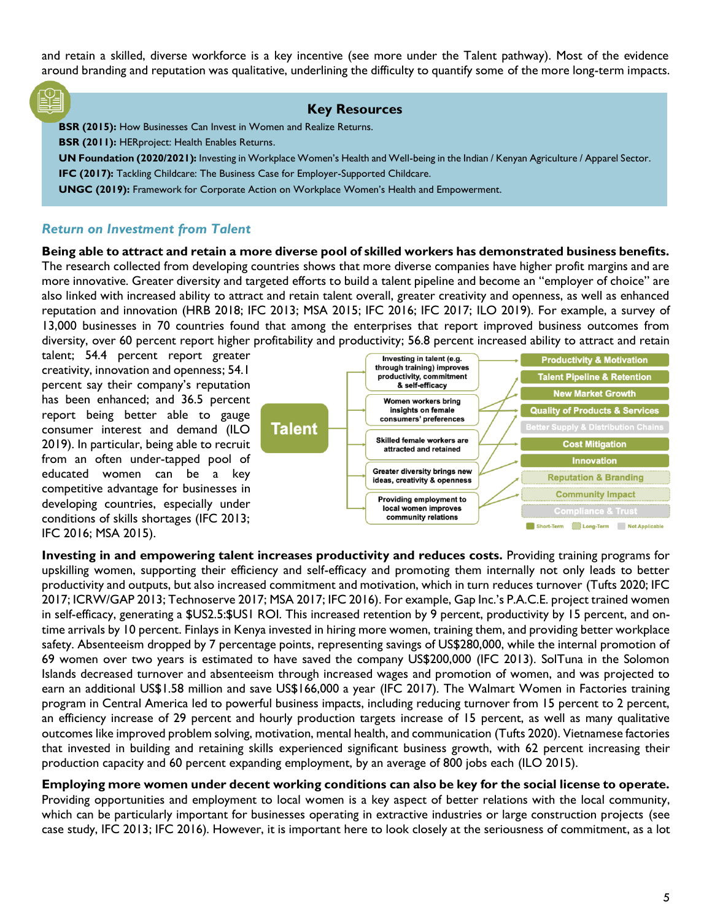and retain a skilled, diverse workforce is a key incentive (see more under the Talent pathway). Most of the evidence around branding and reputation was qualitative, underlining the difficulty to quantify some of the more long-term impacts.

#### **Key Resources**

**BSR (2015):** How Businesses Can Invest in Women and Realize Returns. **BSR (2011):** HERproject: Health Enables Returns. **UN Foundation (2020/2021):** Investing in Workplace Women's Health and Well-being in the Indian / Kenyan Agriculture / Apparel Sector. **IFC (2017):** Tackling Childcare: The Business Case for Employer-Supported Childcare. **UNGC (2019):** Framework for Corporate Action on Workplace Women's Health and Empowerment.

#### *Return on Investment from Talent*

**Being able to attract and retain a more diverse pool of skilled workers has demonstrated business benefits.** The research collected from developing countries shows that more diverse companies have higher profit margins and are more innovative. Greater diversity and targeted efforts to build a talent pipeline and become an "employer of choice" are also linked with increased ability to attract and retain talent overall, greater creativity and openness, as well as enhanced reputation and innovation (HRB 2018; IFC 2013; MSA 2015; IFC 2016; IFC 2017; ILO 2019). For example, a survey of 13,000 businesses in 70 countries found that among the enterprises that report improved business outcomes from diversity, over 60 percent report higher profitability and productivity; 56.8 percent increased ability to attract and retain

talent; 54.4 percent report greater creativity, innovation and openness; 54.1 percent say their company's reputation has been enhanced; and 36.5 percent report being better able to gauge consumer interest and demand (ILO 2019). In particular, being able to recruit from an often under-tapped pool of educated women can be a key competitive advantage for businesses in developing countries, especially under conditions of skills shortages (IFC 2013; IFC 2016; MSA 2015).



**Investing in and empowering talent increases productivity and reduces costs.** Providing training programs for upskilling women, supporting their efficiency and self-efficacy and promoting them internally not only leads to better productivity and outputs, but also increased commitment and motivation, which in turn reduces turnover (Tufts 2020; IFC 2017; ICRW/GAP 2013; Technoserve 2017; MSA 2017; IFC 2016). For example, Gap Inc.'s P.A.C.E. project trained women in self-efficacy, generating a \$US2.5:\$US1 ROI. This increased retention by 9 percent, productivity by 15 percent, and ontime arrivals by 10 percent. Finlays in Kenya invested in hiring more women, training them, and providing better workplace safety. Absenteeism dropped by 7 percentage points, representing savings of US\$280,000, while the internal promotion of 69 women over two years is estimated to have saved the company US\$200,000 (IFC 2013). SolTuna in the Solomon Islands decreased turnover and absenteeism through increased wages and promotion of women, and was projected to earn an additional US\$1.58 million and save US\$166,000 a year (IFC 2017). The Walmart Women in Factories training program in Central America led to powerful business impacts, including reducing turnover from 15 percent to 2 percent, an efficiency increase of 29 percent and hourly production targets increase of 15 percent, as well as many qualitative outcomes like improved problem solving, motivation, mental health, and communication (Tufts 2020). Vietnamese factories that invested in building and retaining skills experienced significant business growth, with 62 percent increasing their production capacity and 60 percent expanding employment, by an average of 800 jobs each (ILO 2015).

**Employing more women under decent working conditions can also be key for the social license to operate.** Providing opportunities and employment to local women is a key aspect of better relations with the local community, which can be particularly important for businesses operating in extractive industries or large construction projects (see case study, IFC 2013; IFC 2016). However, it is important here to look closely at the seriousness of commitment, as a lot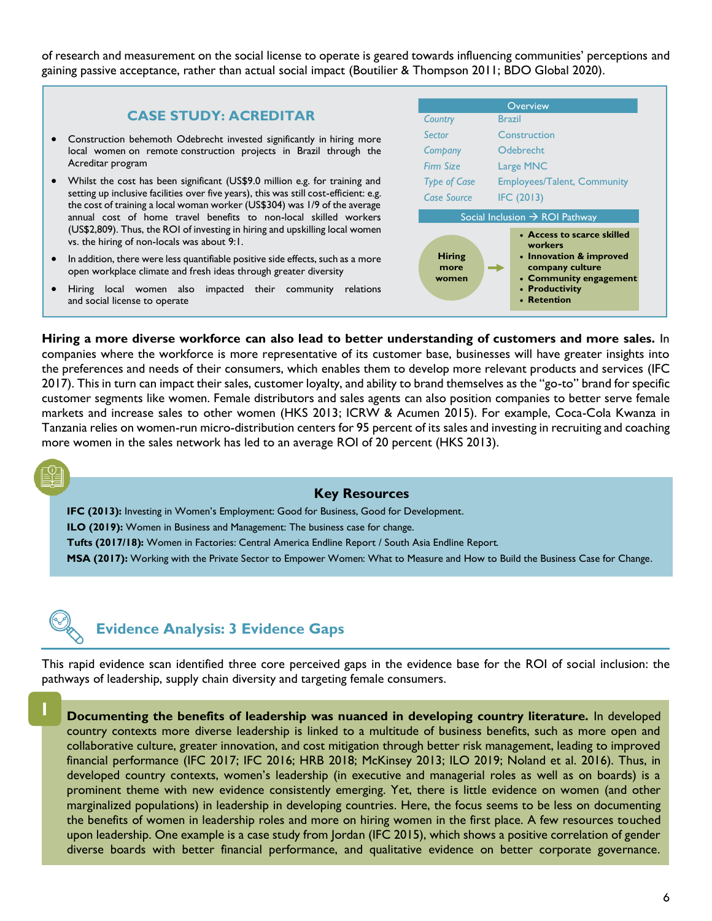of research and measurement on the social license to operate is geared towards influencing communities' perceptions and gaining passive acceptance, rather than actual social impact (Boutilier & Thompson 2011; BDO Global 2020).

#### **CASE STUDY: ACREDITAR**

- Construction behemoth Odebrecht invested significantly in hiring more local women on remote construction projects in Brazil through the Acreditar program
- Whilst the cost has been significant (US\$9.0 million e.g. for training and setting up inclusive facilities over five years), this was still cost-efficient: e.g. the cost of training a local woman worker (US\$304) was 1/9 of the average annual cost of home travel benefits to non-local skilled workers (US\$2,809). Thus, the ROI of investing in hiring and upskilling local women vs. the hiring of non-locals was about 9:1.
- In addition, there were less quantifiable positive side effects, such as a more open workplace climate and fresh ideas through greater diversity
- Hiring local women also impacted their community relations and social license to operate

|                                            | Overview                                                                                                                                       |  |  |  |
|--------------------------------------------|------------------------------------------------------------------------------------------------------------------------------------------------|--|--|--|
| Country                                    | <b>Brazil</b>                                                                                                                                  |  |  |  |
| Sector                                     | Construction                                                                                                                                   |  |  |  |
| Company                                    | Odebrecht                                                                                                                                      |  |  |  |
| Firm Size                                  | Large MNC                                                                                                                                      |  |  |  |
| <b>Type of Case</b>                        | <b>Employees/Talent, Community</b>                                                                                                             |  |  |  |
| Case Source                                | IFC (2013)                                                                                                                                     |  |  |  |
| Social Inclusion $\rightarrow$ ROI Pathway |                                                                                                                                                |  |  |  |
| <b>Hiring</b><br>more<br>women             | • Access to scarce skilled<br>workers<br>• Innovation & improved<br>company culture<br>• Community engagement<br>• Productivity<br>• Retention |  |  |  |

**Hiring a more diverse workforce can also lead to better understanding of customers and more sales.** In companies where the workforce is more representative of its customer base, businesses will have greater insights into the preferences and needs of their consumers, which enables them to develop more relevant products and services (IFC 2017). This in turn can impact their sales, customer loyalty, and ability to brand themselves as the "go-to" brand for specific customer segments like women. Female distributors and sales agents can also position companies to better serve female markets and increase sales to other women (HKS 2013; ICRW & Acumen 2015). For example, Coca-Cola Kwanza in Tanzania relies on women-run micro-distribution centers for 95 percent of its sales and investing in recruiting and coaching more women in the sales network has led to an average ROI of 20 percent (HKS 2013).

#### **Key Resources**

**IFC (2013):** Investing in Women's Employment: Good for Business, Good for Development. **ILO (2019):** Women in Business and Management: The business case for change. **Tufts (2017/18):** Women in Factories: Central America Endline Report / South Asia Endline Report. **MSA (2017):** Working with the Private Sector to Empower Women: What to Measure and How to Build the Business Case for Change.



**1**

## **Evidence Analysis: 3 Evidence Gaps**

This rapid evidence scan identified three core perceived gaps in the evidence base for the ROI of social inclusion: the pathways of leadership, supply chain diversity and targeting female consumers.

**Documenting the benefits of leadership was nuanced in developing country literature.** In developed country contexts more diverse leadership is linked to a multitude of business benefits, such as more open and collaborative culture, greater innovation, and cost mitigation through better risk management, leading to improved financial performance (IFC 2017; IFC 2016; HRB 2018; McKinsey 2013; ILO 2019; Noland et al. 2016). Thus, in developed country contexts, women's leadership (in executive and managerial roles as well as on boards) is a prominent theme with new evidence consistently emerging. Yet, there is little evidence on women (and other marginalized populations) in leadership in developing countries. Here, the focus seems to be less on documenting the benefits of women in leadership roles and more on hiring women in the first place. A few resources touched upon leadership. One example is a case study from Jordan (IFC 2015), which shows a positive correlation of gender diverse boards with better financial performance, and qualitative evidence on better corporate governance.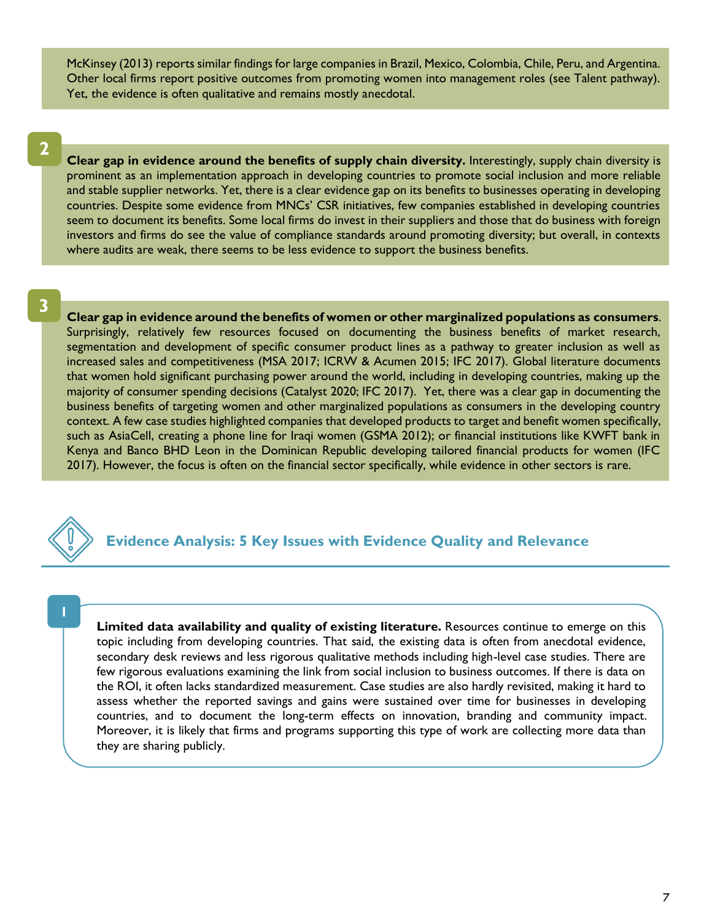McKinsey (2013) reports similar findings for large companies in Brazil, Mexico, Colombia, Chile, Peru, and Argentina. Other local firms report positive outcomes from promoting women into management roles (see Talent pathway). Yet, the evidence is often qualitative and remains mostly anecdotal.

**2**

**Clear gap in evidence around the benefits of supply chain diversity.** Interestingly, supply chain diversity is prominent as an implementation approach in developing countries to promote social inclusion and more reliable and stable supplier networks. Yet, there is a clear evidence gap on its benefits to businesses operating in developing countries. Despite some evidence from MNCs' CSR initiatives, few companies established in developing countries seem to document its benefits. Some local firms do invest in their suppliers and those that do business with foreign investors and firms do see the value of compliance standards around promoting diversity; but overall, in contexts where audits are weak, there seems to be less evidence to support the business benefits.

**3**

**Clear gap in evidence around the benefits of women or other marginalized populations as consumers**. Surprisingly, relatively few resources focused on documenting the business benefits of market research, segmentation and development of specific consumer product lines as a pathway to greater inclusion as well as increased sales and competitiveness (MSA 2017; ICRW & Acumen 2015; IFC 2017). Global literature documents that women hold significant purchasing power around the world, including in developing countries, making up the majority of consumer spending decisions (Catalyst 2020; IFC 2017). Yet, there was a clear gap in documenting the business benefits of targeting women and other marginalized populations as consumers in the developing country context. A few case studies highlighted companies that developed products to target and benefit women specifically, such as AsiaCell, creating a phone line for Iraqi women (GSMA 2012); or financial institutions like KWFT bank in Kenya and Banco BHD Leon in the Dominican Republic developing tailored financial products for women (IFC 2017). However, the focus is often on the financial sector specifically, while evidence in other sectors is rare.



**Evidence Analysis: 5 Key Issues with Evidence Quality and Relevance**

**Limited data availability and quality of existing literature.** Resources continue to emerge on this topic including from developing countries. That said, the existing data is often from anecdotal evidence, secondary desk reviews and less rigorous qualitative methods including high-level case studies. There are few rigorous evaluations examining the link from social inclusion to business outcomes. If there is data on the ROI, it often lacks standardized measurement. Case studies are also hardly revisited, making it hard to assess whether the reported savings and gains were sustained over time for businesses in developing countries, and to document the long-term effects on innovation, branding and community impact. Moreover, it is likely that firms and programs supporting this type of work are collecting more data than they are sharing publicly.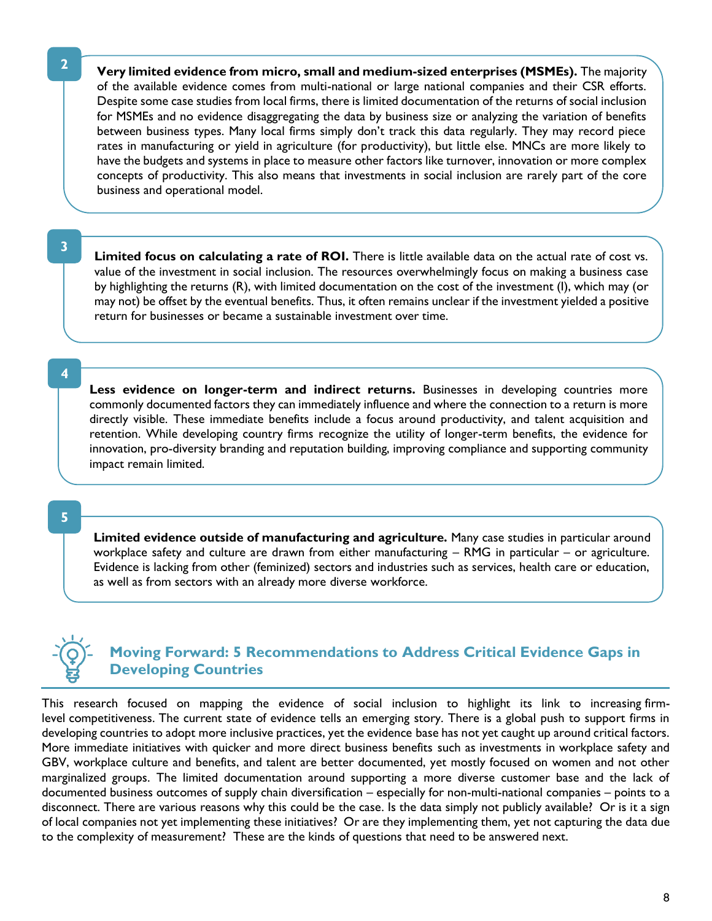**Very limited evidence from micro, small and medium-sized enterprises (MSMEs).** The majority of the available evidence comes from multi-national or large national companies and their CSR efforts. Despite some case studies from local firms, there is limited documentation of the returns of social inclusion for MSMEs and no evidence disaggregating the data by business size or analyzing the variation of benefits between business types. Many local firms simply don't track this data regularly. They may record piece rates in manufacturing or yield in agriculture (for productivity), but little else. MNCs are more likely to have the budgets and systems in place to measure other factors like turnover, innovation or more complex concepts of productivity. This also means that investments in social inclusion are rarely part of the core business and operational model.

**3**

**Limited focus on calculating a rate of ROI.** There is little available data on the actual rate of cost vs. value of the investment in social inclusion. The resources overwhelmingly focus on making a business case by highlighting the returns (R), with limited documentation on the cost of the investment (I), which may (or may not) be offset by the eventual benefits. Thus, it often remains unclear if the investment yielded a positive return for businesses or became a sustainable investment over time.

**4**

Less evidence on longer-term and indirect returns. Businesses in developing countries more commonly documented factors they can immediately influence and where the connection to a return is more directly visible. These immediate benefits include a focus around productivity, and talent acquisition and retention. While developing country firms recognize the utility of longer-term benefits, the evidence for innovation, pro-diversity branding and reputation building, improving compliance and supporting community impact remain limited.

**5**

**Limited evidence outside of manufacturing and agriculture.** Many case studies in particular around workplace safety and culture are drawn from either manufacturing – RMG in particular – or agriculture. Evidence is lacking from other (feminized) sectors and industries such as services, health care or education, as well as from sectors with an already more diverse workforce.

# **Moving Forward: 5 Recommendations to Address Critical Evidence Gaps in Developing Countries**

This research focused on mapping the evidence of social inclusion to highlight its link to increasing firmlevel competitiveness. The current state of evidence tells an emerging story. There is a global push to support firms in developing countries to adopt more inclusive practices, yet the evidence base has not yet caught up around critical factors. More immediate initiatives with quicker and more direct business benefits such as investments in workplace safety and GBV, workplace culture and benefits, and talent are better documented, yet mostly focused on women and not other marginalized groups. The limited documentation around supporting a more diverse customer base and the lack of documented business outcomes of supply chain diversification – especially for non-multi-national companies – points to a disconnect. There are various reasons why this could be the case. Is the data simply not publicly available? Or is it a sign of local companies not yet implementing these initiatives? Or are they implementing them, yet not capturing the data due to the complexity of measurement? These are the kinds of questions that need to be answered next.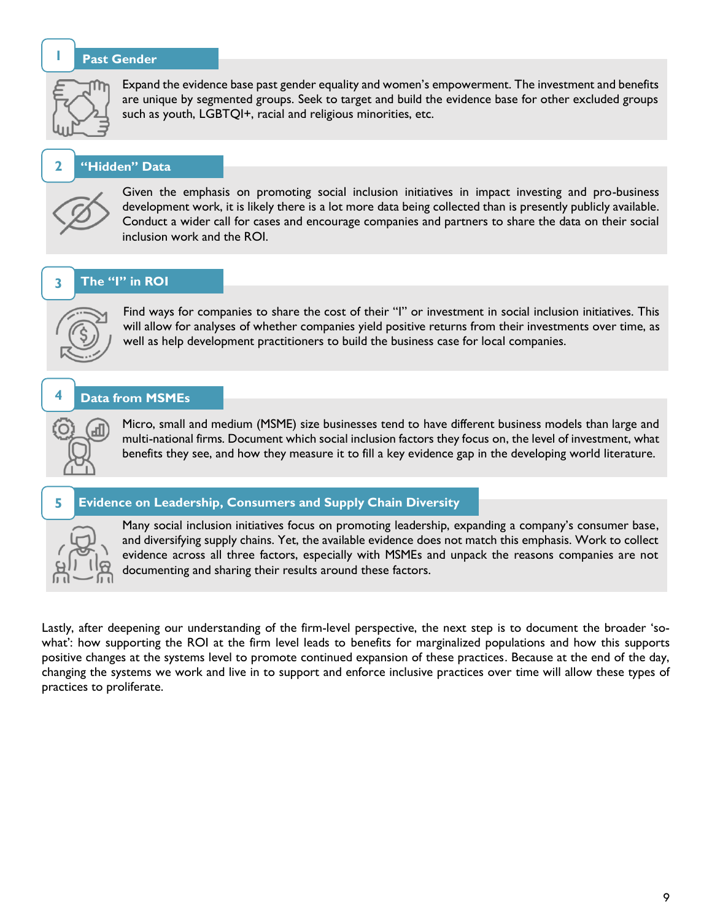#### **Past Gender**



**1**

**2**

Expand the evidence base past gender equality and women's empowerment. The investment and benefits are unique by segmented groups. Seek to target and build the evidence base for other excluded groups such as youth, LGBTQI+, racial and religious minorities, etc.

#### **"Hidden" Data**



Given the emphasis on promoting social inclusion initiatives in impact investing and pro-business development work, it is likely there is a lot more data being collected than is presently publicly available. Conduct a wider call for cases and encourage companies and partners to share the data on their social inclusion work and the ROI.

#### **The "I" in ROI 3**



Find ways for companies to share the cost of their "I" or investment in social inclusion initiatives. This will allow for analyses of whether companies yield positive returns from their investments over time, as well as help development practitioners to build the business case for local companies.

#### **Data from MSMEs 4**

лI

Micro, small and medium (MSME) size businesses tend to have different business models than large and multi-national firms. Document which social inclusion factors they focus on, the level of investment, what benefits they see, and how they measure it to fill a key evidence gap in the developing world literature.

#### **Evidence on Leadership, Consumers and Supply Chain Diversity 5**



Many social inclusion initiatives focus on promoting leadership, expanding a company's consumer base, and diversifying supply chains. Yet, the available evidence does not match this emphasis. Work to collect evidence across all three factors, especially with MSMEs and unpack the reasons companies are not documenting and sharing their results around these factors.

Lastly, after deepening our understanding of the firm-level perspective, the next step is to document the broader 'sowhat': how supporting the ROI at the firm level leads to benefits for marginalized populations and how this supports positive changes at the systems level to promote continued expansion of these practices. Because at the end of the day, changing the systems we work and live in to support and enforce inclusive practices over time will allow these types of practices to proliferate.